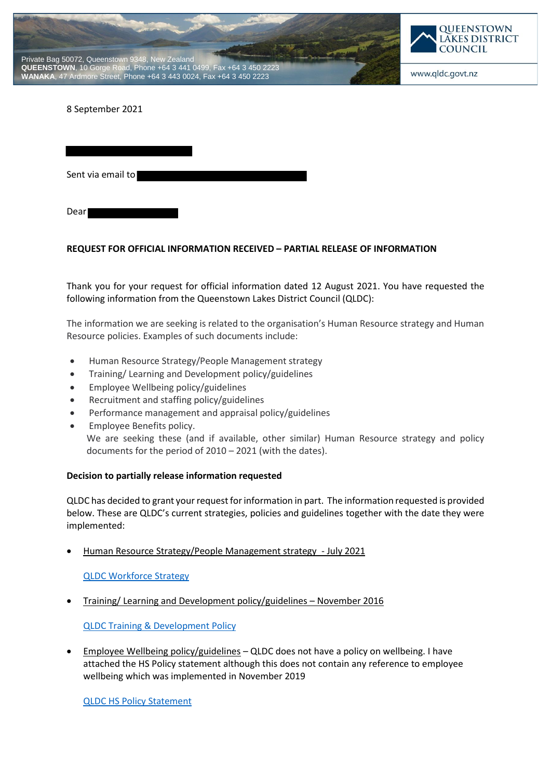



www.qldc.govt.nz

8 September 2021

Sent via email to

Dear

# **REQUEST FOR OFFICIAL INFORMATION RECEIVED – PARTIAL RELEASE OF INFORMATION**

Thank you for your request for official information dated 12 August 2021. You have requested the following information from the Queenstown Lakes District Council (QLDC):

The information we are seeking is related to the organisation's Human Resource strategy and Human Resource policies. Examples of such documents include:

- Human Resource Strategy/People Management strategy
- Training/ Learning and Development policy/guidelines
- Employee Wellbeing policy/guidelines
- Recruitment and staffing policy/guidelines
- Performance management and appraisal policy/guidelines
- Employee Benefits policy. We are seeking these (and if available, other similar) Human Resource strategy and policy documents for the period of 2010 – 2021 (with the dates).

# **Decision to partially release information requested**

QLDC has decided to grant your request for information in part. The information requested is provided below. These are QLDC's current strategies, policies and guidelines together with the date they were implemented:

Human Resource Strategy/People Management strategy - July 2021

QLDC Workforce Strategy

Training/ Learning and Development policy/guidelines – November 2016

QLDC Training & Development Policy

 Employee Wellbeing policy/guidelines – QLDC does not have a policy on wellbeing. I have attached the HS Policy statement although this does not contain any reference to employee wellbeing which was implemented in November 2019

QLDC HS Policy Statement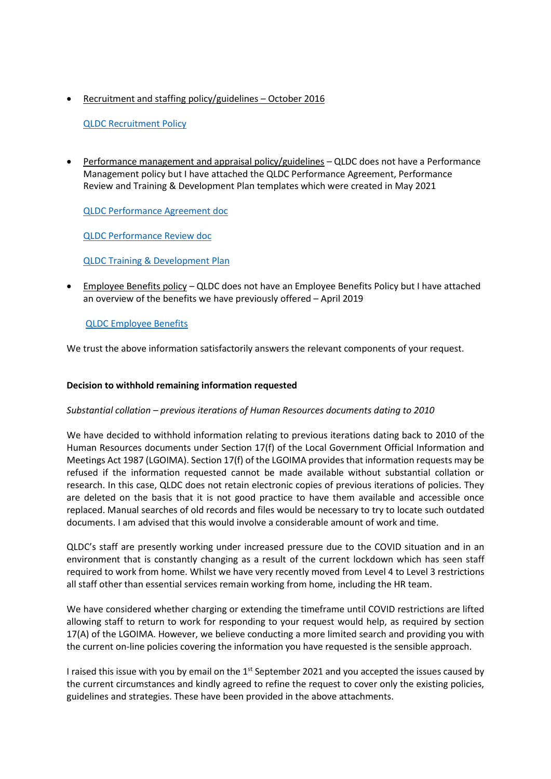Recruitment and staffing policy/guidelines – October 2016

# QLDC Recruitment Policy

 Performance management and appraisal policy/guidelines – QLDC does not have a Performance Management policy but I have attached the QLDC Performance Agreement, Performance Review and Training & Development Plan templates which were created in May 2021

QLDC Performance Agreement doc

QLDC Performance Review doc

QLDC Training & Development Plan

 Employee Benefits policy – QLDC does not have an Employee Benefits Policy but I have attached an overview of the benefits we have previously offered – April 2019

# QLDC Employee Benefits

We trust the above information satisfactorily answers the relevant components of your request.

# **Decision to withhold remaining information requested**

# *Substantial collation – previous iterations of Human Resources documents dating to 2010*

We have decided to withhold information relating to previous iterations dating back to 2010 of the Human Resources documents under Section 17(f) of the Local Government Official Information and Meetings Act 1987 (LGOIMA). Section 17(f) of the LGOIMA provides that information requests may be refused if the information requested cannot be made available without substantial collation or research. In this case, QLDC does not retain electronic copies of previous iterations of policies. They are deleted on the basis that it is not good practice to have them available and accessible once replaced. Manual searches of old records and files would be necessary to try to locate such outdated documents. I am advised that this would involve a considerable amount of work and time.

QLDC's staff are presently working under increased pressure due to the COVID situation and in an environment that is constantly changing as a result of the current lockdown which has seen staff required to work from home. Whilst we have very recently moved from Level 4 to Level 3 restrictions all staff other than essential services remain working from home, including the HR team.

We have considered whether charging or extending the timeframe until COVID restrictions are lifted allowing staff to return to work for responding to your request would help, as required by section 17(A) of the LGOIMA. However, we believe conducting a more limited search and providing you with the current on-line policies covering the information you have requested is the sensible approach.

I raised this issue with you by email on the  $1<sup>st</sup>$  September 2021 and you accepted the issues caused by the current circumstances and kindly agreed to refine the request to cover only the existing policies, guidelines and strategies. These have been provided in the above attachments.